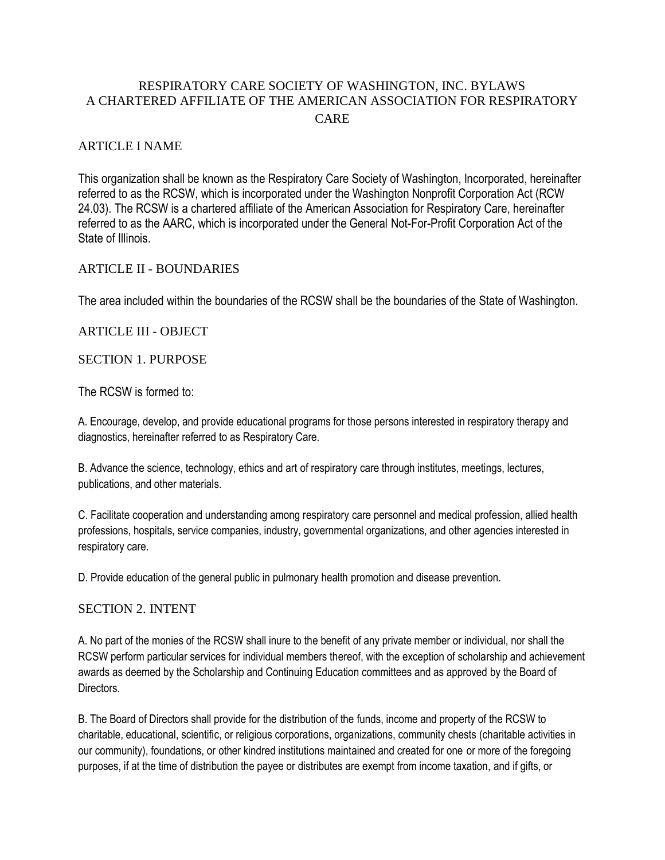# RESPIRATORY CARE SOCIETY OF WASHINGTON, INC. BYLAWS A CHARTERED AFFILIATE OF THE AMERICAN ASSOCIATION FOR RESPIRATORY **CARE**

# ARTICLE I NAME

This organization shall be known as the Respiratory Care Society of Washington, Incorporated, hereinafter referred to as the RCSW, which is incorporated under the Washington Nonprofit Corporation Act (RCW 24.03). The RCSW is a chartered affiliate of the American Association for Respiratory Care, hereinafter referred to as the AARC, which is incorporated under the General Not-For-Profit Corporation Act of the State of Illinois.

### ARTICLE II - BOUNDARIES

The area included within the boundaries of the RCSW shall be the boundaries of the State of Washington.

# ARTICLE III - OBJECT

### SECTION 1. PURPOSE

The RCSW is formed to:

A. Encourage, develop, and provide educational programs for those persons interested in respiratory therapy and diagnostics, hereinafter referred to as Respiratory Care.

B. Advance the science, technology, ethics and art of respiratory care through institutes, meetings, lectures, publications, and other materials.

C. Facilitate cooperation and understanding among respiratory care personnel and medical profession, allied health professions, hospitals, service companies, industry, governmental organizations, and other agencies interested in respiratory care.

D. Provide education of the general public in pulmonary health promotion and disease prevention.

### SECTION 2. INTENT

A. No part of the monies of the RCSW shall inure to the benefit of any private member or individual, nor shall the RCSW perform particular services for individual members thereof, with the exception of scholarship and achievement awards as deemed by the Scholarship and Continuing Education committees and as approved by the Board of Directors.

B. The Board of Directors shall provide for the distribution of the funds, income and property of the RCSW to charitable, educational, scientific, or religious corporations, organizations, community chests (charitable activities in our community), foundations, or other kindred institutions maintained and created for one or more of the foregoing purposes, if at the time of distribution the payee or distributes are exempt from income taxation, and if gifts, or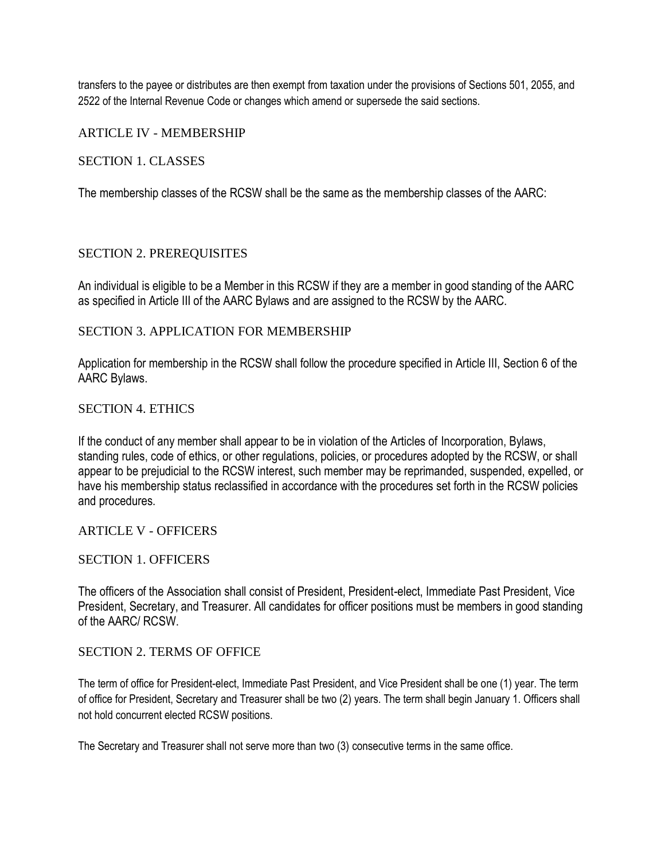transfers to the payee or distributes are then exempt from taxation under the provisions of Sections 501, 2055, and 2522 of the Internal Revenue Code or changes which amend or supersede the said sections.

ARTICLE IV - MEMBERSHIP

SECTION 1. CLASSES

The membership classes of the RCSW shall be the same as the membership classes of the AARC:

#### SECTION 2. PREREQUISITES

An individual is eligible to be a Member in this RCSW if they are a member in good standing of the AARC as specified in Article III of the AARC Bylaws and are assigned to the RCSW by the AARC.

#### SECTION 3. APPLICATION FOR MEMBERSHIP

Application for membership in the RCSW shall follow the procedure specified in Article III, Section 6 of the AARC Bylaws.

#### SECTION 4. ETHICS

If the conduct of any member shall appear to be in violation of the Articles of Incorporation, Bylaws, standing rules, code of ethics, or other regulations, policies, or procedures adopted by the RCSW, or shall appear to be prejudicial to the RCSW interest, such member may be reprimanded, suspended, expelled, or have his membership status reclassified in accordance with the procedures set forth in the RCSW policies and procedures.

# ARTICLE V - OFFICERS

#### SECTION 1. OFFICERS

The officers of the Association shall consist of President, President-elect, Immediate Past President, Vice President, Secretary, and Treasurer. All candidates for officer positions must be members in good standing of the AARC/ RCSW.

#### SECTION 2. TERMS OF OFFICE

The term of office for President-elect, Immediate Past President, and Vice President shall be one (1) year. The term of office for President, Secretary and Treasurer shall be two (2) years. The term shall begin January 1. Officers shall not hold concurrent elected RCSW positions.

The Secretary and Treasurer shall not serve more than two (3) consecutive terms in the same office.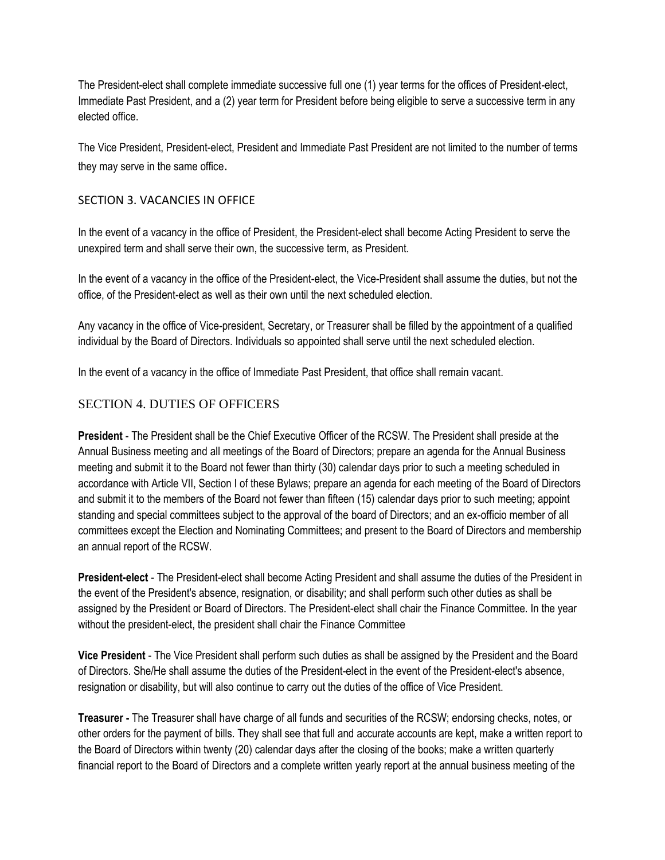The President-elect shall complete immediate successive full one (1) year terms for the offices of President-elect, Immediate Past President, and a (2) year term for President before being eligible to serve a successive term in any elected office.

The Vice President, President-elect, President and Immediate Past President are not limited to the number of terms they may serve in the same office.

### SECTION 3. VACANCIES IN OFFICE

In the event of a vacancy in the office of President, the President-elect shall become Acting President to serve the unexpired term and shall serve their own, the successive term, as President.

In the event of a vacancy in the office of the President-elect, the Vice-President shall assume the duties, but not the office, of the President-elect as well as their own until the next scheduled election.

Any vacancy in the office of Vice-president, Secretary, or Treasurer shall be filled by the appointment of a qualified individual by the Board of Directors. Individuals so appointed shall serve until the next scheduled election.

In the event of a vacancy in the office of Immediate Past President, that office shall remain vacant.

# SECTION 4. DUTIES OF OFFICERS

**President** - The President shall be the Chief Executive Officer of the RCSW. The President shall preside at the Annual Business meeting and all meetings of the Board of Directors; prepare an agenda for the Annual Business meeting and submit it to the Board not fewer than thirty (30) calendar days prior to such a meeting scheduled in accordance with Article VII, Section I of these Bylaws; prepare an agenda for each meeting of the Board of Directors and submit it to the members of the Board not fewer than fifteen (15) calendar days prior to such meeting; appoint standing and special committees subject to the approval of the board of Directors; and an ex-officio member of all committees except the Election and Nominating Committees; and present to the Board of Directors and membership an annual report of the RCSW.

**President-elect** - The President-elect shall become Acting President and shall assume the duties of the President in the event of the President's absence, resignation, or disability; and shall perform such other duties as shall be assigned by the President or Board of Directors. The President-elect shall chair the Finance Committee. In the year without the president-elect, the president shall chair the Finance Committee

**Vice President** - The Vice President shall perform such duties as shall be assigned by the President and the Board of Directors. She/He shall assume the duties of the President-elect in the event of the President-elect's absence, resignation or disability, but will also continue to carry out the duties of the office of Vice President.

**Treasurer -** The Treasurer shall have charge of all funds and securities of the RCSW; endorsing checks, notes, or other orders for the payment of bills. They shall see that full and accurate accounts are kept, make a written report to the Board of Directors within twenty (20) calendar days after the closing of the books; make a written quarterly financial report to the Board of Directors and a complete written yearly report at the annual business meeting of the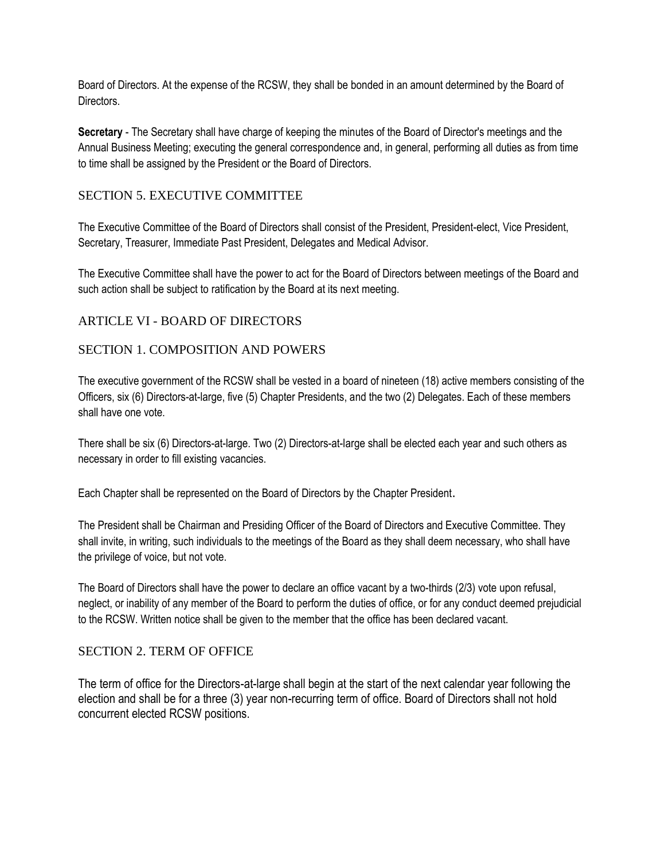Board of Directors. At the expense of the RCSW, they shall be bonded in an amount determined by the Board of Directors.

**Secretary** - The Secretary shall have charge of keeping the minutes of the Board of Director's meetings and the Annual Business Meeting; executing the general correspondence and, in general, performing all duties as from time to time shall be assigned by the President or the Board of Directors.

# SECTION 5. EXECUTIVE COMMITTEE

The Executive Committee of the Board of Directors shall consist of the President, President-elect, Vice President, Secretary, Treasurer, Immediate Past President, Delegates and Medical Advisor.

The Executive Committee shall have the power to act for the Board of Directors between meetings of the Board and such action shall be subject to ratification by the Board at its next meeting.

# ARTICLE VI - BOARD OF DIRECTORS

# SECTION 1. COMPOSITION AND POWERS

The executive government of the RCSW shall be vested in a board of nineteen (18) active members consisting of the Officers, six (6) Directors-at-large, five (5) Chapter Presidents, and the two (2) Delegates. Each of these members shall have one vote.

There shall be six (6) Directors-at-large. Two (2) Directors-at-large shall be elected each year and such others as necessary in order to fill existing vacancies.

Each Chapter shall be represented on the Board of Directors by the Chapter President.

The President shall be Chairman and Presiding Officer of the Board of Directors and Executive Committee. They shall invite, in writing, such individuals to the meetings of the Board as they shall deem necessary, who shall have the privilege of voice, but not vote.

The Board of Directors shall have the power to declare an office vacant by a two-thirds (2/3) vote upon refusal, neglect, or inability of any member of the Board to perform the duties of office, or for any conduct deemed prejudicial to the RCSW. Written notice shall be given to the member that the office has been declared vacant.

### SECTION 2. TERM OF OFFICE

The term of office for the Directors-at-large shall begin at the start of the next calendar year following the election and shall be for a three (3) year non-recurring term of office. Board of Directors shall not hold concurrent elected RCSW positions.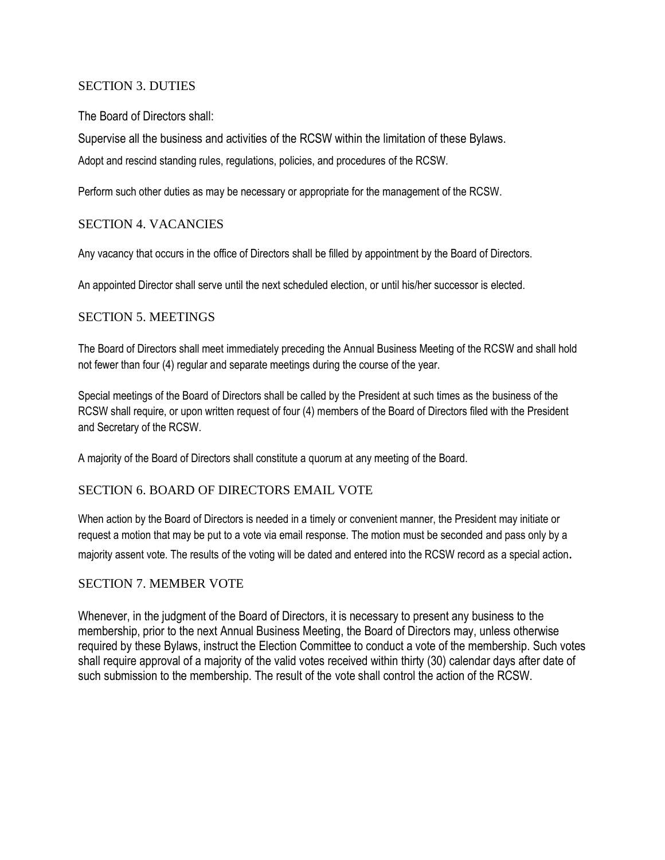# SECTION 3. DUTIES

The Board of Directors shall:

Supervise all the business and activities of the RCSW within the limitation of these Bylaws. Adopt and rescind standing rules, regulations, policies, and procedures of the RCSW.

Perform such other duties as may be necessary or appropriate for the management of the RCSW.

# SECTION 4. VACANCIES

Any vacancy that occurs in the office of Directors shall be filled by appointment by the Board of Directors.

An appointed Director shall serve until the next scheduled election, or until his/her successor is elected.

### SECTION 5. MEETINGS

The Board of Directors shall meet immediately preceding the Annual Business Meeting of the RCSW and shall hold not fewer than four (4) regular and separate meetings during the course of the year.

Special meetings of the Board of Directors shall be called by the President at such times as the business of the RCSW shall require, or upon written request of four (4) members of the Board of Directors filed with the President and Secretary of the RCSW.

A majority of the Board of Directors shall constitute a quorum at any meeting of the Board.

### SECTION 6. BOARD OF DIRECTORS EMAIL VOTE

When action by the Board of Directors is needed in a timely or convenient manner, the President may initiate or request a motion that may be put to a vote via email response. The motion must be seconded and pass only by a majority assent vote. The results of the voting will be dated and entered into the RCSW record as a special action.

### SECTION 7. MEMBER VOTE

Whenever, in the judgment of the Board of Directors, it is necessary to present any business to the membership, prior to the next Annual Business Meeting, the Board of Directors may, unless otherwise required by these Bylaws, instruct the Election Committee to conduct a vote of the membership. Such votes shall require approval of a majority of the valid votes received within thirty (30) calendar days after date of such submission to the membership. The result of the vote shall control the action of the RCSW.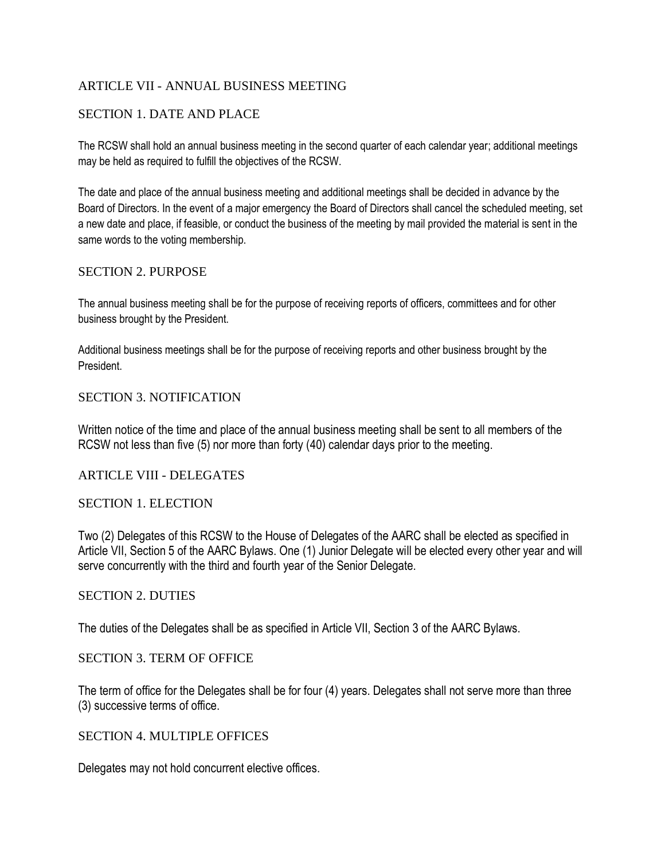# ARTICLE VII - ANNUAL BUSINESS MEETING

# SECTION 1. DATE AND PLACE

The RCSW shall hold an annual business meeting in the second quarter of each calendar year; additional meetings may be held as required to fulfill the objectives of the RCSW.

The date and place of the annual business meeting and additional meetings shall be decided in advance by the Board of Directors. In the event of a major emergency the Board of Directors shall cancel the scheduled meeting, set a new date and place, if feasible, or conduct the business of the meeting by mail provided the material is sent in the same words to the voting membership.

### SECTION 2. PURPOSE

The annual business meeting shall be for the purpose of receiving reports of officers, committees and for other business brought by the President.

Additional business meetings shall be for the purpose of receiving reports and other business brought by the President.

### SECTION 3. NOTIFICATION

Written notice of the time and place of the annual business meeting shall be sent to all members of the RCSW not less than five (5) nor more than forty (40) calendar days prior to the meeting.

### ARTICLE VIII - DELEGATES

### SECTION 1. ELECTION

Two (2) Delegates of this RCSW to the House of Delegates of the AARC shall be elected as specified in Article VII, Section 5 of the AARC Bylaws. One (1) Junior Delegate will be elected every other year and will serve concurrently with the third and fourth year of the Senior Delegate.

#### SECTION 2. DUTIES

The duties of the Delegates shall be as specified in Article VII, Section 3 of the AARC Bylaws.

### SECTION 3. TERM OF OFFICE

The term of office for the Delegates shall be for four (4) years. Delegates shall not serve more than three (3) successive terms of office.

### SECTION 4. MULTIPLE OFFICES

Delegates may not hold concurrent elective offices.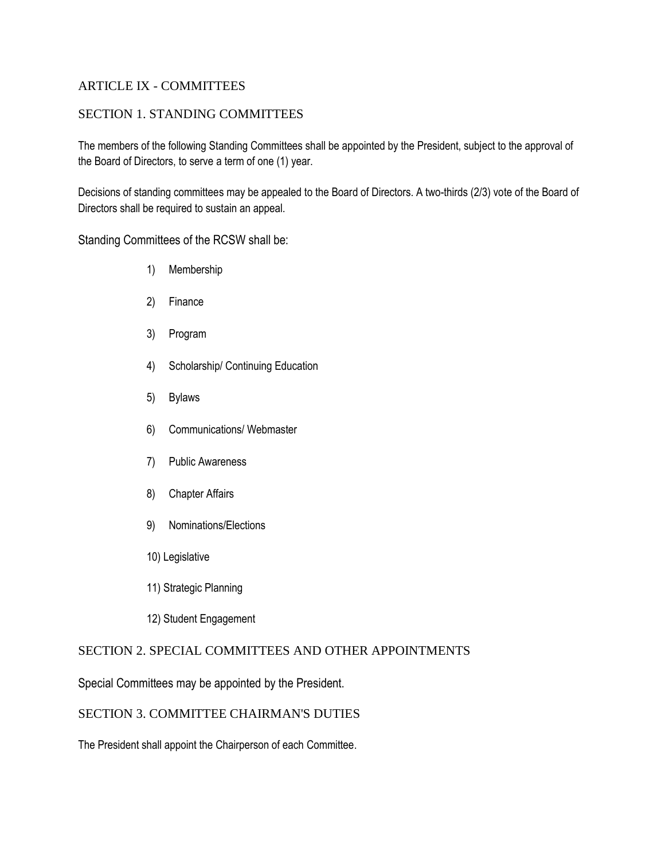# ARTICLE IX - COMMITTEES

# SECTION 1. STANDING COMMITTEES

The members of the following Standing Committees shall be appointed by the President, subject to the approval of the Board of Directors, to serve a term of one (1) year.

Decisions of standing committees may be appealed to the Board of Directors. A two-thirds (2/3) vote of the Board of Directors shall be required to sustain an appeal.

Standing Committees of the RCSW shall be:

- 1) Membership
- 2) Finance
- 3) Program
- 4) Scholarship/ Continuing Education
- 5) Bylaws
- 6) Communications/ Webmaster
- 7) Public Awareness
- 8) Chapter Affairs
- 9) Nominations/Elections
- 10) Legislative
- 11) Strategic Planning
- 12) Student Engagement

# SECTION 2. SPECIAL COMMITTEES AND OTHER APPOINTMENTS

Special Committees may be appointed by the President.

# SECTION 3. COMMITTEE CHAIRMAN'S DUTIES

The President shall appoint the Chairperson of each Committee.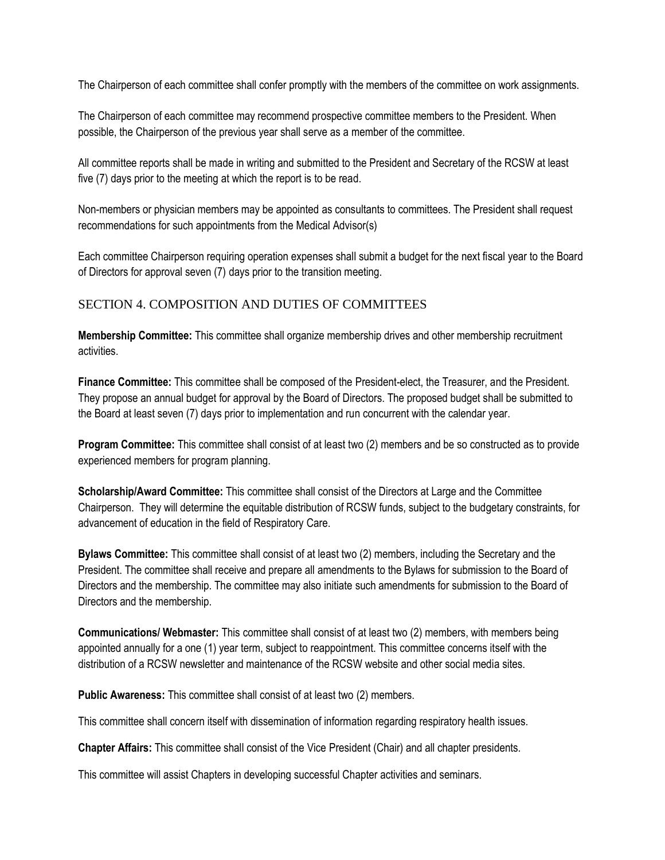The Chairperson of each committee shall confer promptly with the members of the committee on work assignments.

The Chairperson of each committee may recommend prospective committee members to the President. When possible, the Chairperson of the previous year shall serve as a member of the committee.

All committee reports shall be made in writing and submitted to the President and Secretary of the RCSW at least five (7) days prior to the meeting at which the report is to be read.

Non-members or physician members may be appointed as consultants to committees. The President shall request recommendations for such appointments from the Medical Advisor(s)

Each committee Chairperson requiring operation expenses shall submit a budget for the next fiscal year to the Board of Directors for approval seven (7) days prior to the transition meeting.

# SECTION 4. COMPOSITION AND DUTIES OF COMMITTEES

**Membership Committee:** This committee shall organize membership drives and other membership recruitment activities.

**Finance Committee:** This committee shall be composed of the President-elect, the Treasurer, and the President. They propose an annual budget for approval by the Board of Directors. The proposed budget shall be submitted to the Board at least seven (7) days prior to implementation and run concurrent with the calendar year.

**Program Committee:** This committee shall consist of at least two (2) members and be so constructed as to provide experienced members for program planning.

**Scholarship/Award Committee:** This committee shall consist of the Directors at Large and the Committee Chairperson. They will determine the equitable distribution of RCSW funds, subject to the budgetary constraints, for advancement of education in the field of Respiratory Care.

**Bylaws Committee:** This committee shall consist of at least two (2) members, including the Secretary and the President. The committee shall receive and prepare all amendments to the Bylaws for submission to the Board of Directors and the membership. The committee may also initiate such amendments for submission to the Board of Directors and the membership.

**Communications/ Webmaster:** This committee shall consist of at least two (2) members, with members being appointed annually for a one (1) year term, subject to reappointment. This committee concerns itself with the distribution of a RCSW newsletter and maintenance of the RCSW website and other social media sites.

**Public Awareness:** This committee shall consist of at least two (2) members.

This committee shall concern itself with dissemination of information regarding respiratory health issues.

**Chapter Affairs:** This committee shall consist of the Vice President (Chair) and all chapter presidents.

This committee will assist Chapters in developing successful Chapter activities and seminars.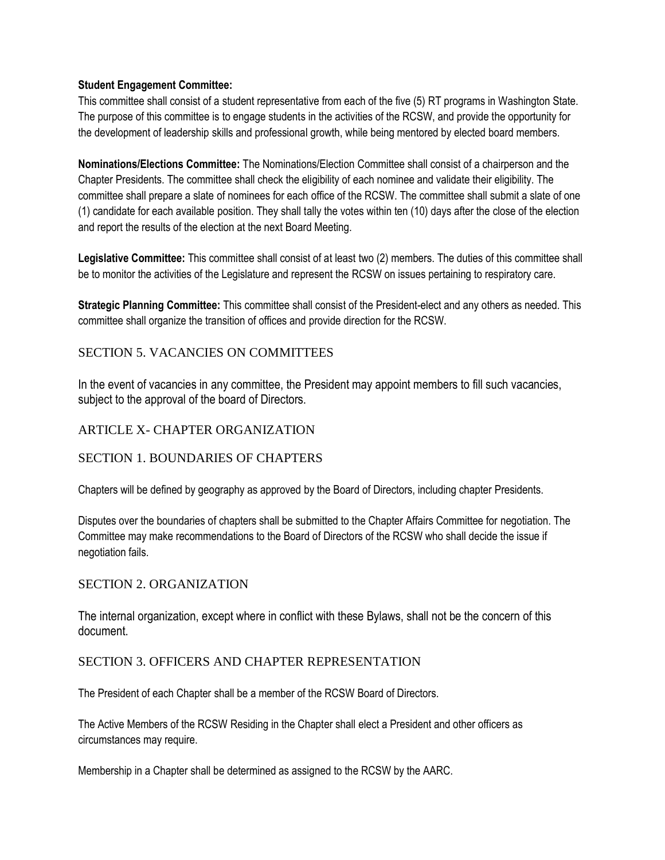#### **Student Engagement Committee:**

This committee shall consist of a student representative from each of the five (5) RT programs in Washington State. The purpose of this committee is to engage students in the activities of the RCSW, and provide the opportunity for the development of leadership skills and professional growth, while being mentored by elected board members.

**Nominations/Elections Committee:** The Nominations/Election Committee shall consist of a chairperson and the Chapter Presidents. The committee shall check the eligibility of each nominee and validate their eligibility. The committee shall prepare a slate of nominees for each office of the RCSW. The committee shall submit a slate of one (1) candidate for each available position. They shall tally the votes within ten (10) days after the close of the election and report the results of the election at the next Board Meeting.

**Legislative Committee:** This committee shall consist of at least two (2) members. The duties of this committee shall be to monitor the activities of the Legislature and represent the RCSW on issues pertaining to respiratory care.

**Strategic Planning Committee:** This committee shall consist of the President-elect and any others as needed. This committee shall organize the transition of offices and provide direction for the RCSW.

# SECTION 5. VACANCIES ON COMMITTEES

In the event of vacancies in any committee, the President may appoint members to fill such vacancies, subject to the approval of the board of Directors.

### ARTICLE X- CHAPTER ORGANIZATION

### SECTION 1. BOUNDARIES OF CHAPTERS

Chapters will be defined by geography as approved by the Board of Directors, including chapter Presidents.

Disputes over the boundaries of chapters shall be submitted to the Chapter Affairs Committee for negotiation. The Committee may make recommendations to the Board of Directors of the RCSW who shall decide the issue if negotiation fails.

### SECTION 2. ORGANIZATION

The internal organization, except where in conflict with these Bylaws, shall not be the concern of this document.

### SECTION 3. OFFICERS AND CHAPTER REPRESENTATION

The President of each Chapter shall be a member of the RCSW Board of Directors.

The Active Members of the RCSW Residing in the Chapter shall elect a President and other officers as circumstances may require.

Membership in a Chapter shall be determined as assigned to the RCSW by the AARC.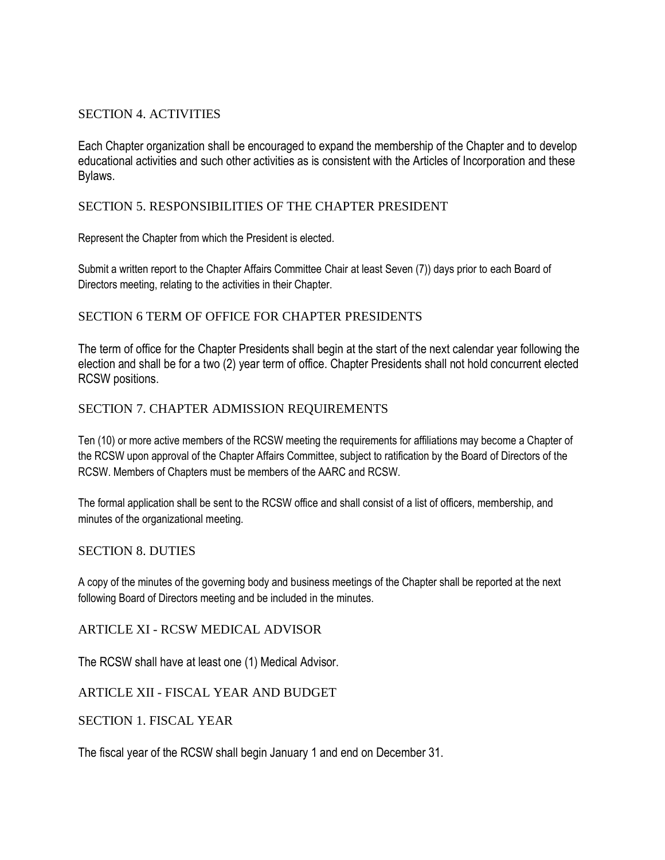# SECTION 4. ACTIVITIES

Each Chapter organization shall be encouraged to expand the membership of the Chapter and to develop educational activities and such other activities as is consistent with the Articles of Incorporation and these Bylaws.

# SECTION 5. RESPONSIBILITIES OF THE CHAPTER PRESIDENT

Represent the Chapter from which the President is elected.

Submit a written report to the Chapter Affairs Committee Chair at least Seven (7)) days prior to each Board of Directors meeting, relating to the activities in their Chapter.

# SECTION 6 TERM OF OFFICE FOR CHAPTER PRESIDENTS

The term of office for the Chapter Presidents shall begin at the start of the next calendar year following the election and shall be for a two (2) year term of office. Chapter Presidents shall not hold concurrent elected RCSW positions.

# SECTION 7. CHAPTER ADMISSION REQUIREMENTS

Ten (10) or more active members of the RCSW meeting the requirements for affiliations may become a Chapter of the RCSW upon approval of the Chapter Affairs Committee, subject to ratification by the Board of Directors of the RCSW. Members of Chapters must be members of the AARC and RCSW.

The formal application shall be sent to the RCSW office and shall consist of a list of officers, membership, and minutes of the organizational meeting.

### SECTION 8. DUTIES

A copy of the minutes of the governing body and business meetings of the Chapter shall be reported at the next following Board of Directors meeting and be included in the minutes.

ARTICLE XI - RCSW MEDICAL ADVISOR

The RCSW shall have at least one (1) Medical Advisor.

ARTICLE XII - FISCAL YEAR AND BUDGET

SECTION 1. FISCAL YEAR

The fiscal year of the RCSW shall begin January 1 and end on December 31.